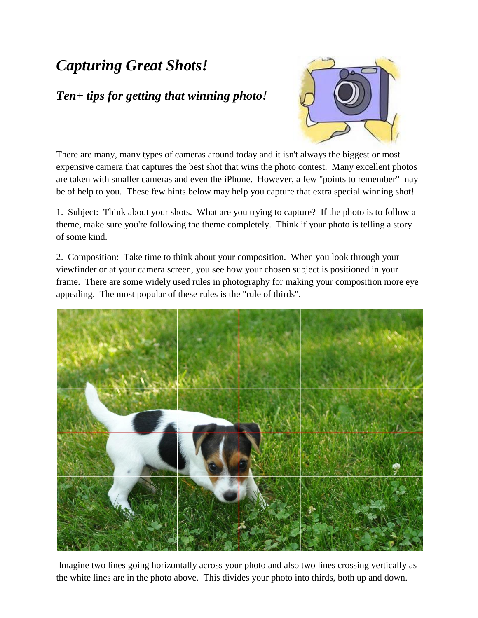## *Capturing Great Shots!*

## *Ten+ tips for getting that winning photo!*



There are many, many types of cameras around today and it isn't always the biggest or most expensive camera that captures the best shot that wins the photo contest. Many excellent photos are taken with smaller cameras and even the iPhone. However, a few "points to remember" may be of help to you. These few hints below may help you capture that extra special winning shot!

1. Subject: Think about your shots. What are you trying to capture? If the photo is to follow a theme, make sure you're following the theme completely. Think if your photo is telling a story of some kind.

2. Composition: Take time to think about your composition. When you look through your viewfinder or at your camera screen, you see how your chosen subject is positioned in your frame. There are some widely used rules in photography for making your composition more eye appealing. The most popular of these rules is the "rule of thirds".



Imagine two lines going horizontally across your photo and also two lines crossing vertically as the white lines are in the photo above. This divides your photo into thirds, both up and down.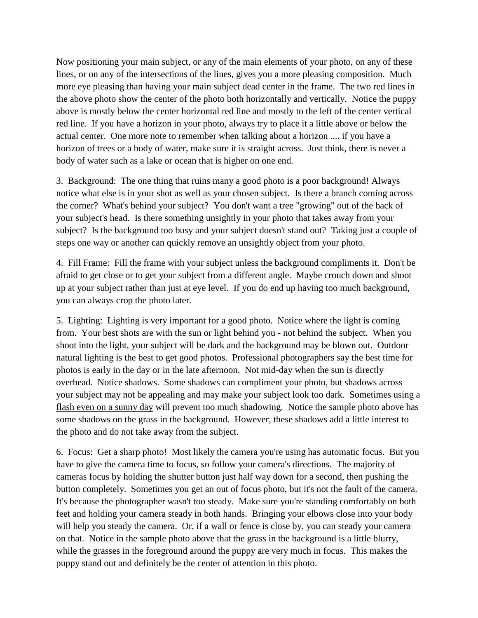Now positioning your main subject, or any of the main elements of your photo, on any of these lines, or on any of the intersections of the lines, gives you a more pleasing composition. Much more eye pleasing than having your main subject dead center in the frame. The two red lines in the above photo show the center of the photo both horizontally and vertically. Notice the puppy above is mostly below the center horizontal red line and mostly to the left of the center vertical red line. If you have a horizon in your photo, always try to place it a little above or below the actual center. One more note to remember when talking about a horizon .... if you have a horizon of trees or a body of water, make sure it is straight across. Just think, there is never a body of water such as a lake or ocean that is higher on one end.

3. Background: The one thing that ruins many a good photo is a poor background! Always notice what else is in your shot as well as your chosen subject. Is there a branch coming across the corner? What's behind your subject? You don't want a tree "growing" out of the back of your subject's head. Is there something unsightly in your photo that takes away from your subject? Is the background too busy and your subject doesn't stand out? Taking just a couple of steps one way or another can quickly remove an unsightly object from your photo.

4. Fill Frame: Fill the frame with your subject unless the background compliments it. Don't be afraid to get close or to get your subject from a different angle. Maybe crouch down and shoot up at your subject rather than just at eye level. If you do end up having too much background, you can always crop the photo later.

5. Lighting: Lighting is very important for a good photo. Notice where the light is coming from. Your best shots are with the sun or light behind you - not behind the subject. When you shoot into the light, your subject will be dark and the background may be blown out. Outdoor natural lighting is the best to get good photos. Professional photographers say the best time for photos is early in the day or in the late afternoon. Not mid-day when the sun is directly overhead. Notice shadows. Some shadows can compliment your photo, but shadows across your subject may not be appealing and may make your subject look too dark. Sometimes using a flash even on a sunny day will prevent too much shadowing. Notice the sample photo above has some shadows on the grass in the background. However, these shadows add a little interest to the photo and do not take away from the subject.

6. Focus: Get a sharp photo! Most likely the camera you're using has automatic focus. But you have to give the camera time to focus, so follow your camera's directions. The majority of cameras focus by holding the shutter button just half way down for a second, then pushing the button completely. Sometimes you get an out of focus photo, but it's not the fault of the camera. It's because the photographer wasn't too steady. Make sure you're standing comfortably on both feet and holding your camera steady in both hands. Bringing your elbows close into your body will help you steady the camera. Or, if a wall or fence is close by, you can steady your camera on that. Notice in the sample photo above that the grass in the background is a little blurry, while the grasses in the foreground around the puppy are very much in focus. This makes the puppy stand out and definitely be the center of attention in this photo.